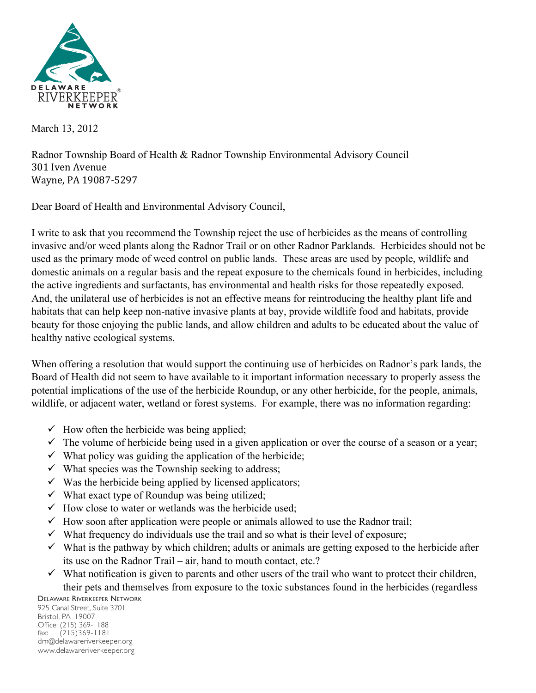

March 13, 2012

Radnor Township Board of Health & Radnor Township Environmental Advisory Council 301 Iven Avenue Wayne, PA 19087-5297

Dear Board of Health and Environmental Advisory Council,

I write to ask that you recommend the Township reject the use of herbicides as the means of controlling invasive and/or weed plants along the Radnor Trail or on other Radnor Parklands. Herbicides should not be used as the primary mode of weed control on public lands. These areas are used by people, wildlife and domestic animals on a regular basis and the repeat exposure to the chemicals found in herbicides, including the active ingredients and surfactants, has environmental and health risks for those repeatedly exposed. And, the unilateral use of herbicides is not an effective means for reintroducing the healthy plant life and habitats that can help keep non-native invasive plants at bay, provide wildlife food and habitats, provide beauty for those enjoying the public lands, and allow children and adults to be educated about the value of healthy native ecological systems.

When offering a resolution that would support the continuing use of herbicides on Radnor's park lands, the Board of Health did not seem to have available to it important information necessary to properly assess the potential implications of the use of the herbicide Roundup, or any other herbicide, for the people, animals, wildlife, or adjacent water, wetland or forest systems. For example, there was no information regarding:

- $\checkmark$  How often the herbicide was being applied;
- $\checkmark$  The volume of herbicide being used in a given application or over the course of a season or a year;
- $\checkmark$  What policy was guiding the application of the herbicide;
- $\checkmark$  What species was the Township seeking to address;
- $\checkmark$  Was the herbicide being applied by licensed applicators;
- $\checkmark$  What exact type of Roundup was being utilized;
- $\checkmark$  How close to water or wetlands was the herbicide used;
- $\checkmark$  How soon after application were people or animals allowed to use the Radnor trail;
- $\checkmark$  What frequency do individuals use the trail and so what is their level of exposure;
- $\checkmark$  What is the pathway by which children; adults or animals are getting exposed to the herbicide after its use on the Radnor Trail – air, hand to mouth contact, etc.?
- $\checkmark$  What notification is given to parents and other users of the trail who want to protect their children, their pets and themselves from exposure to the toxic substances found in the herbicides (regardless

DELAWARE RIVERKEEPER NETWORK

925 Canal Street, Suite 3701 Bristol, PA 19007 Office: (215) 369-1188 fax: (215)369-1181 drn@delawareriverkeeper.org www.delawareriverkeeper.org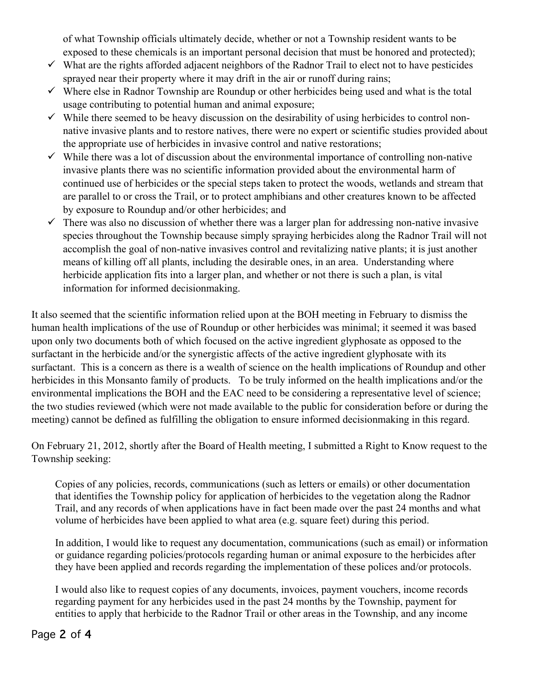of what Township officials ultimately decide, whether or not a Township resident wants to be exposed to these chemicals is an important personal decision that must be honored and protected);

- $\checkmark$  What are the rights afforded adjacent neighbors of the Radnor Trail to elect not to have pesticides sprayed near their property where it may drift in the air or runoff during rains;
- $\checkmark$  Where else in Radnor Township are Roundup or other herbicides being used and what is the total usage contributing to potential human and animal exposure;
- $\checkmark$  While there seemed to be heavy discussion on the desirability of using herbicides to control nonnative invasive plants and to restore natives, there were no expert or scientific studies provided about the appropriate use of herbicides in invasive control and native restorations;
- $\checkmark$  While there was a lot of discussion about the environmental importance of controlling non-native invasive plants there was no scientific information provided about the environmental harm of continued use of herbicides or the special steps taken to protect the woods, wetlands and stream that are parallel to or cross the Trail, or to protect amphibians and other creatures known to be affected by exposure to Roundup and/or other herbicides; and
- $\checkmark$  There was also no discussion of whether there was a larger plan for addressing non-native invasive species throughout the Township because simply spraying herbicides along the Radnor Trail will not accomplish the goal of non-native invasives control and revitalizing native plants; it is just another means of killing off all plants, including the desirable ones, in an area. Understanding where herbicide application fits into a larger plan, and whether or not there is such a plan, is vital information for informed decisionmaking.

It also seemed that the scientific information relied upon at the BOH meeting in February to dismiss the human health implications of the use of Roundup or other herbicides was minimal; it seemed it was based upon only two documents both of which focused on the active ingredient glyphosate as opposed to the surfactant in the herbicide and/or the synergistic affects of the active ingredient glyphosate with its surfactant. This is a concern as there is a wealth of science on the health implications of Roundup and other herbicides in this Monsanto family of products. To be truly informed on the health implications and/or the environmental implications the BOH and the EAC need to be considering a representative level of science; the two studies reviewed (which were not made available to the public for consideration before or during the meeting) cannot be defined as fulfilling the obligation to ensure informed decisionmaking in this regard.

On February 21, 2012, shortly after the Board of Health meeting, I submitted a Right to Know request to the Township seeking:

Copies of any policies, records, communications (such as letters or emails) or other documentation that identifies the Township policy for application of herbicides to the vegetation along the Radnor Trail, and any records of when applications have in fact been made over the past 24 months and what volume of herbicides have been applied to what area (e.g. square feet) during this period.

In addition, I would like to request any documentation, communications (such as email) or information or guidance regarding policies/protocols regarding human or animal exposure to the herbicides after they have been applied and records regarding the implementation of these polices and/or protocols.

I would also like to request copies of any documents, invoices, payment vouchers, income records regarding payment for any herbicides used in the past 24 months by the Township, payment for entities to apply that herbicide to the Radnor Trail or other areas in the Township, and any income

## Page 2 of 4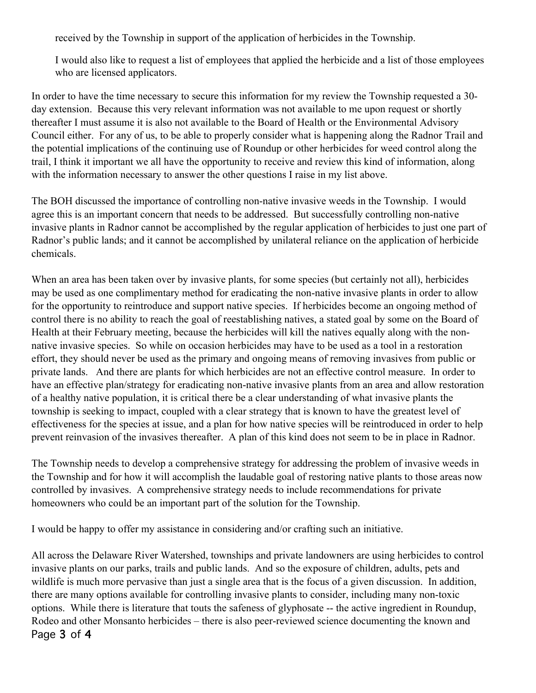received by the Township in support of the application of herbicides in the Township.

I would also like to request a list of employees that applied the herbicide and a list of those employees who are licensed applicators.

In order to have the time necessary to secure this information for my review the Township requested a 30 day extension. Because this very relevant information was not available to me upon request or shortly thereafter I must assume it is also not available to the Board of Health or the Environmental Advisory Council either. For any of us, to be able to properly consider what is happening along the Radnor Trail and the potential implications of the continuing use of Roundup or other herbicides for weed control along the trail, I think it important we all have the opportunity to receive and review this kind of information, along with the information necessary to answer the other questions I raise in my list above.

The BOH discussed the importance of controlling non-native invasive weeds in the Township. I would agree this is an important concern that needs to be addressed. But successfully controlling non-native invasive plants in Radnor cannot be accomplished by the regular application of herbicides to just one part of Radnor's public lands; and it cannot be accomplished by unilateral reliance on the application of herbicide chemicals.

When an area has been taken over by invasive plants, for some species (but certainly not all), herbicides may be used as one complimentary method for eradicating the non-native invasive plants in order to allow for the opportunity to reintroduce and support native species. If herbicides become an ongoing method of control there is no ability to reach the goal of reestablishing natives, a stated goal by some on the Board of Health at their February meeting, because the herbicides will kill the natives equally along with the nonnative invasive species. So while on occasion herbicides may have to be used as a tool in a restoration effort, they should never be used as the primary and ongoing means of removing invasives from public or private lands. And there are plants for which herbicides are not an effective control measure. In order to have an effective plan/strategy for eradicating non-native invasive plants from an area and allow restoration of a healthy native population, it is critical there be a clear understanding of what invasive plants the township is seeking to impact, coupled with a clear strategy that is known to have the greatest level of effectiveness for the species at issue, and a plan for how native species will be reintroduced in order to help prevent reinvasion of the invasives thereafter. A plan of this kind does not seem to be in place in Radnor.

The Township needs to develop a comprehensive strategy for addressing the problem of invasive weeds in the Township and for how it will accomplish the laudable goal of restoring native plants to those areas now controlled by invasives. A comprehensive strategy needs to include recommendations for private homeowners who could be an important part of the solution for the Township.

I would be happy to offer my assistance in considering and/or crafting such an initiative.

Page 3 of 4 All across the Delaware River Watershed, townships and private landowners are using herbicides to control invasive plants on our parks, trails and public lands. And so the exposure of children, adults, pets and wildlife is much more pervasive than just a single area that is the focus of a given discussion. In addition, there are many options available for controlling invasive plants to consider, including many non-toxic options. While there is literature that touts the safeness of glyphosate -- the active ingredient in Roundup, Rodeo and other Monsanto herbicides – there is also peer-reviewed science documenting the known and